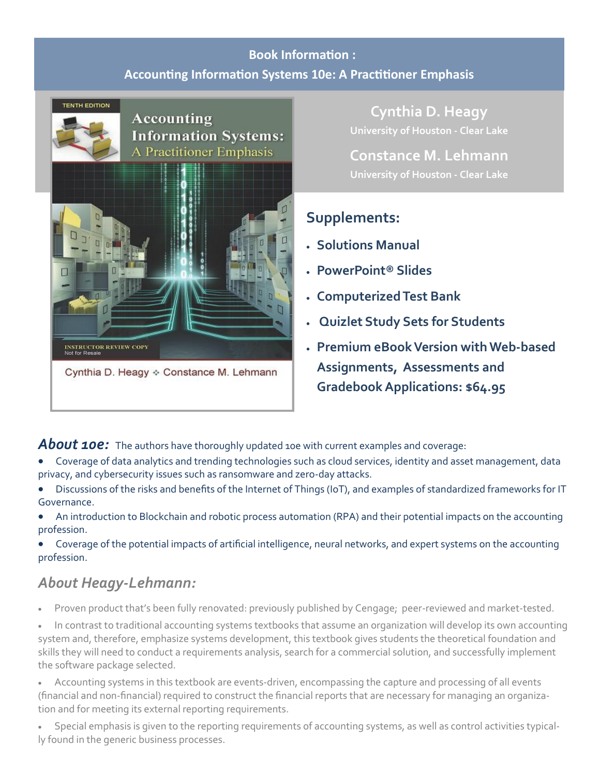## **Book Information : Accounting Information Systems 10e: A Practitioner Emphasis**



### **Accounting Information Systems:** A Practitioner Emphasis



Cynthia D. Heagy ❖ Constance M. Lehmann

**Cynthia D. Heagy University of Houston - Clear Lake**

**Constance M. Lehmann University of Houston - Clear Lake**

# **Supplements:**

- **Solutions Manual**
- **PowerPoint® Slides**
- **Computerized Test Bank**
- **Quizlet Study Sets for Students**
- **Premium eBook Version with Web-based Assignments, Assessments and Gradebook Applications: \$64.95**

About 10e: The authors have thoroughly updated 10e with current examples and coverage:

- Coverage of data analytics and trending technologies such as cloud services, identity and asset management, data privacy, and cybersecurity issues such as ransomware and zero-day attacks.
- Discussions of the risks and benefits of the Internet of Things (IoT), and examples of standardized frameworks for IT Governance.
- An introduction to Blockchain and robotic process automation (RPA) and their potential impacts on the accounting profession.
- Coverage of the potential impacts of artificial intelligence, neural networks, and expert systems on the accounting profession.

# *About Heagy-Lehmann:*

- •Proven product that's been fully renovated: previously published by Cengage; peer-reviewed and market-tested.
- In contrast to traditional accounting systems textbooks that assume an organization will develop its own accounting system and, therefore, emphasize systems development, this textbook gives students the theoretical foundation and skills they will need to conduct a requirements analysis, search for a commercial solution, and successfully implement the software package selected.
- Accounting systems in this textbook are events-driven, encompassing the capture and processing of all events (financial and non-financial) required to construct the financial reports that are necessary for managing an organization and for meeting its external reporting requirements.
- Special emphasis is given to the reporting requirements of accounting systems, as well as control activities typically found in the generic business processes.